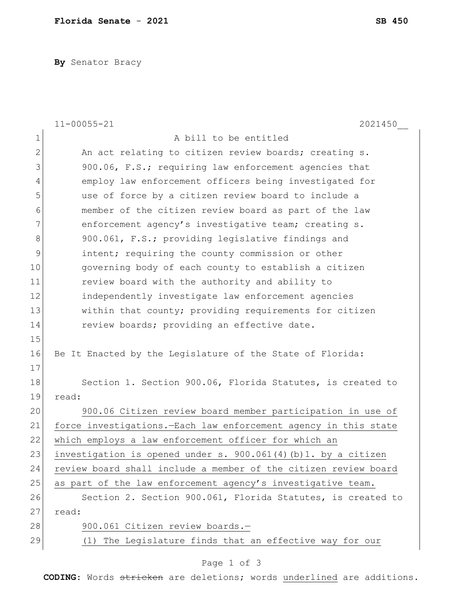**By** Senator Bracy

|                | $11 - 00055 - 21$<br>2021450                                      |
|----------------|-------------------------------------------------------------------|
| $\mathbf 1$    | A bill to be entitled                                             |
| $\overline{2}$ | An act relating to citizen review boards; creating s.             |
| 3              | 900.06, F.S.; requiring law enforcement agencies that             |
| $\overline{4}$ | employ law enforcement officers being investigated for            |
| 5              | use of force by a citizen review board to include a               |
| 6              | member of the citizen review board as part of the law             |
| 7              | enforcement agency's investigative team; creating s.              |
| 8              | 900.061, F.S.; providing legislative findings and                 |
| 9              | intent; requiring the county commission or other                  |
| 10             | governing body of each county to establish a citizen              |
| 11             | review board with the authority and ability to                    |
| 12             | independently investigate law enforcement agencies                |
| 13             | within that county; providing requirements for citizen            |
| 14             | review boards; providing an effective date.                       |
| 15             |                                                                   |
| 16             | Be It Enacted by the Legislature of the State of Florida:         |
| 17             |                                                                   |
| 18             | Section 1. Section 900.06, Florida Statutes, is created to        |
| 19             | read:                                                             |
| 20             | 900.06 Citizen review board member participation in use of        |
| 21             | force investigations. - Each law enforcement agency in this state |
| 22             | which employs a law enforcement officer for which an              |
| 23             | investigation is opened under s. 900.061(4)(b)1. by a citizen     |
| 24             | review board shall include a member of the citizen review board   |
| 25             | as part of the law enforcement agency's investigative team.       |
| 26             | Section 2. Section 900.061, Florida Statutes, is created to       |
| 27             | read:                                                             |
| 28             | 900.061 Citizen review boards.-                                   |
| 29             | (1) The Legislature finds that an effective way for our           |

## Page 1 of 3

**CODING**: Words stricken are deletions; words underlined are additions.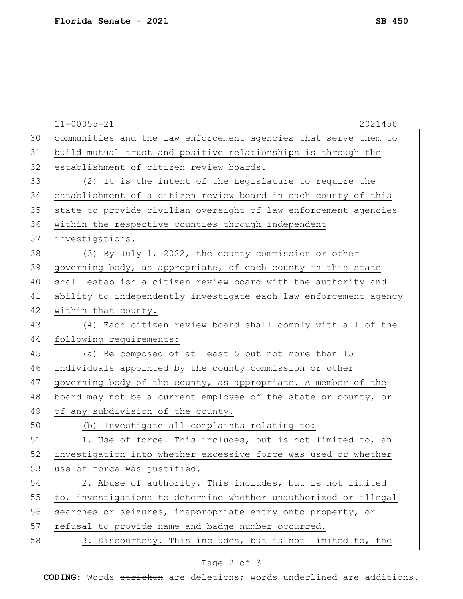|    | $11 - 00055 - 21$<br>2021450                                     |
|----|------------------------------------------------------------------|
| 30 | communities and the law enforcement agencies that serve them to  |
| 31 | build mutual trust and positive relationships is through the     |
| 32 | establishment of citizen review boards.                          |
| 33 | (2) It is the intent of the Legislature to require the           |
| 34 | establishment of a citizen review board in each county of this   |
| 35 | state to provide civilian oversight of law enforcement agencies  |
| 36 | within the respective counties through independent               |
| 37 | investigations.                                                  |
| 38 | (3) By July 1, 2022, the county commission or other              |
| 39 | governing body, as appropriate, of each county in this state     |
| 40 | shall establish a citizen review board with the authority and    |
| 41 | ability to independently investigate each law enforcement agency |
| 42 | within that county.                                              |
| 43 | (4) Each citizen review board shall comply with all of the       |
| 44 | following requirements:                                          |
| 45 | (a) Be composed of at least 5 but not more than 15               |
| 46 | individuals appointed by the county commission or other          |
| 47 | governing body of the county, as appropriate. A member of the    |
| 48 | board may not be a current employee of the state or county, or   |
| 49 | of any subdivision of the county.                                |
| 50 | (b) Investigate all complaints relating to:                      |
| 51 | 1. Use of force. This includes, but is not limited to, an        |
| 52 | investigation into whether excessive force was used or whether   |
| 53 | use of force was justified.                                      |
| 54 | 2. Abuse of authority. This includes, but is not limited         |
| 55 | to, investigations to determine whether unauthorized or illegal  |
| 56 | searches or seizures, inappropriate entry onto property, or      |
| 57 | refusal to provide name and badge number occurred.               |
| 58 | 3. Discourtesy. This includes, but is not limited to, the        |

## Page 2 of 3

**CODING**: Words stricken are deletions; words underlined are additions.